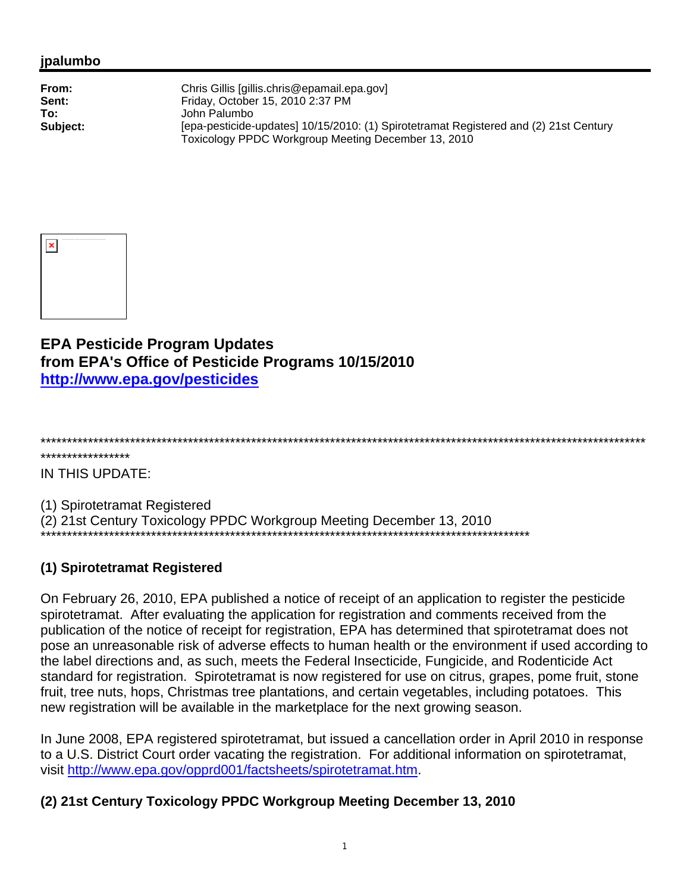## jpalumbo

| From:    | Chris Gillis [gillis.chris@epamail.epa.gov]                                                                                                  |
|----------|----------------------------------------------------------------------------------------------------------------------------------------------|
| Sent:    | Friday, October 15, 2010 2:37 PM                                                                                                             |
| To:      | John Palumbo                                                                                                                                 |
| Subject: | [epa-pesticide-updates] 10/15/2010: (1) Spirotetramat Registered and (2) 21st Century<br>Toxicology PPDC Workgroup Meeting December 13, 2010 |



**EPA Pesticide Program Updates** from EPA's Office of Pesticide Programs 10/15/2010 http://www.epa.gov/pesticides

## \*\*\*\*\*\*\*\*\*\*\*\*\*\*

IN THIS UPDATE:

(1) Spirotetramat Registered (2) 21st Century Toxicology PPDC Workgroup Meeting December 13, 2010

## (1) Spirotetramat Registered

On February 26, 2010, EPA published a notice of receipt of an application to register the pesticide spirotetramat. After evaluating the application for registration and comments received from the publication of the notice of receipt for registration, EPA has determined that spirotetramat does not pose an unreasonable risk of adverse effects to human health or the environment if used according to the label directions and, as such, meets the Federal Insecticide, Fungicide, and Rodenticide Act standard for registration. Spirotetramat is now registered for use on citrus, grapes, pome fruit, stone fruit, tree nuts, hops, Christmas tree plantations, and certain vegetables, including potatoes. This new registration will be available in the marketplace for the next growing season.

In June 2008, EPA registered spirotetramat, but issued a cancellation order in April 2010 in response to a U.S. District Court order vacating the registration. For additional information on spirotetramat, visit http://www.epa.gov/opprd001/factsheets/spirotetramat.htm.

## (2) 21st Century Toxicology PPDC Workgroup Meeting December 13, 2010